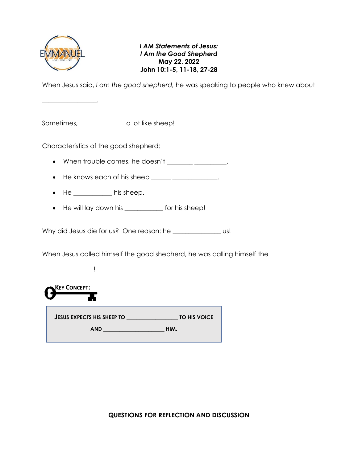

 $\overline{\phantom{a}}$  , where  $\overline{\phantom{a}}$  , where  $\overline{\phantom{a}}$  ,

*I AM Statements of Jesus: I Am the Good Shepherd* **May 22, 2022 John 10:1-5, 11-18, 27-28**

When Jesus said, *I am the good shepherd,* he was speaking to people who knew about

Sometimes, \_\_\_\_\_\_\_\_\_\_\_\_\_\_ a lot like sheep!

Characteristics of the good shepherd:

- When trouble comes, he doesn't  $\qquad \qquad \qquad$
- He knows each of his sheep  $\frac{1}{\sqrt{1-\frac{1}{2}}}\frac{1}{\sqrt{1-\frac{1}{2}}}\cdots$
- He his sheep.
- He will lay down his \_\_\_\_\_\_\_\_\_\_\_\_ for his sheep!

Why did Jesus die for us? One reason: he \_\_\_\_\_\_\_\_\_\_\_\_\_\_\_ us!

When Jesus called himself the good shepherd, he was calling himself the

 $\Box$ 



**JESUS EXPECTS HIS SHEEP TO \_\_\_\_\_\_\_\_\_\_\_\_\_\_\_\_ TO HIS VOICE AND \_\_\_\_\_\_\_\_\_\_\_\_\_\_\_\_\_\_\_ HIM.**

**QUESTIONS FOR REFLECTION AND DISCUSSION**